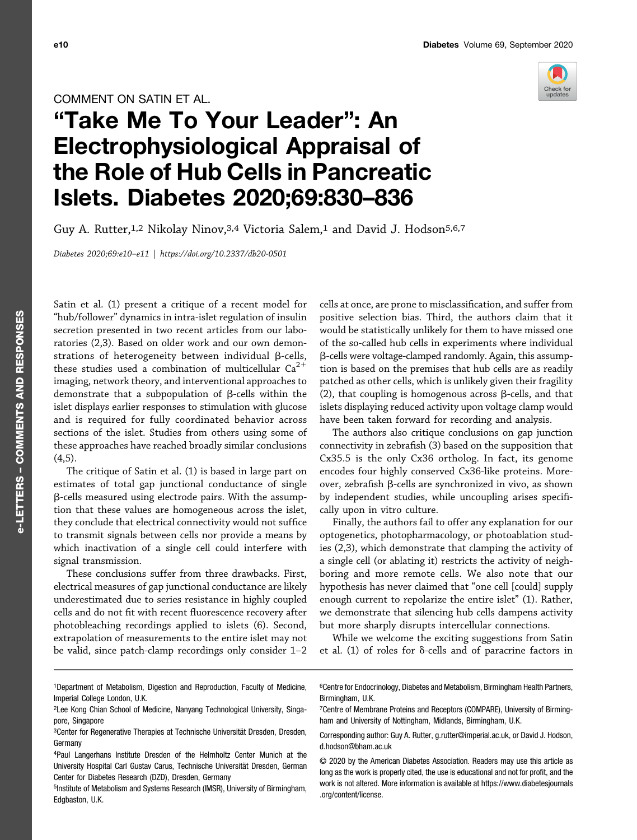## COMMENT ON SATIN ET AL.

## "Take Me To Your Leader": An Electrophysiological Appraisal of the Role of Hub Cells in Pancreatic Islets. Diabetes 2020;69:830–836

Guy A. Rutter,<sup>1,2</sup> Nikolay Ninov,<sup>3,4</sup> Victoria Salem,<sup>1</sup> and David J. Hodson<sup>5,6,7</sup>

Diabetes 2020;69:e10–e11 |<https://doi.org/10.2337/db20-0501>

Satin et al. (1) present a critique of a recent model for "hub/follower" dynamics in intra-islet regulation of insulin secretion presented in two recent articles from our laboratories (2,3). Based on older work and our own demonstrations of heterogeneity between individual  $\beta$ -cells, these studies used a combination of multicellular  $Ca^{2+}$ imaging, network theory, and interventional approaches to demonstrate that a subpopulation of  $\beta$ -cells within the islet displays earlier responses to stimulation with glucose and is required for fully coordinated behavior across sections of the islet. Studies from others using some of these approaches have reached broadly similar conclusions  $(4,5)$ .

The critique of Satin et al. (1) is based in large part on estimates of total gap junctional conductance of single b-cells measured using electrode pairs. With the assumption that these values are homogeneous across the islet, they conclude that electrical connectivity would not suffice to transmit signals between cells nor provide a means by which inactivation of a single cell could interfere with signal transmission.

These conclusions suffer from three drawbacks. First, electrical measures of gap junctional conductance are likely underestimated due to series resistance in highly coupled cells and do not fit with recent fluorescence recovery after photobleaching recordings applied to islets (6). Second, extrapolation of measurements to the entire islet may not be valid, since patch-clamp recordings only consider 1–2

cells at once, are prone to misclassification, and suffer from positive selection bias. Third, the authors claim that it would be statistically unlikely for them to have missed one of the so-called hub cells in experiments where individual b-cells were voltage-clamped randomly. Again, this assumption is based on the premises that hub cells are as readily patched as other cells, which is unlikely given their fragility (2), that coupling is homogenous across  $\beta$ -cells, and that islets displaying reduced activity upon voltage clamp would have been taken forward for recording and analysis.

The authors also critique conclusions on gap junction connectivity in zebrafish (3) based on the supposition that Cx35.5 is the only Cx36 ortholog. In fact, its genome encodes four highly conserved Cx36-like proteins. Moreover, zebrafish  $\beta$ -cells are synchronized in vivo, as shown by independent studies, while uncoupling arises specifically upon in vitro culture.

Finally, the authors fail to offer any explanation for our optogenetics, photopharmacology, or photoablation studies (2,3), which demonstrate that clamping the activity of a single cell (or ablating it) restricts the activity of neighboring and more remote cells. We also note that our hypothesis has never claimed that "one cell [could] supply enough current to repolarize the entire islet" (1). Rather, we demonstrate that silencing hub cells dampens activity but more sharply disrupts intercellular connections.

While we welcome the exciting suggestions from Satin et al. (1) of roles for  $\delta$ -cells and of paracrine factors in

1Department of Metabolism, Digestion and Reproduction, Faculty of Medicine, Imperial College London, U.K.

6Centre for Endocrinology, Diabetes and Metabolism, Birmingham Health Partners, Birmingham, U.K.



<sup>2</sup>Lee Kong Chian School of Medicine, Nanyang Technological University, Singapore, Singapore

<sup>3</sup>Center for Regenerative Therapies at Technische Universität Dresden, Dresden, Germany

<sup>4</sup>Paul Langerhans Institute Dresden of the Helmholtz Center Munich at the University Hospital Carl Gustav Carus, Technische Universität Dresden, German Center for Diabetes Research (DZD), Dresden, Germany

<sup>5</sup>Institute of Metabolism and Systems Research (IMSR), University of Birmingham, Edgbaston, U.K.

<sup>7</sup>Centre of Membrane Proteins and Receptors (COMPARE), University of Birmingham and University of Nottingham, Midlands, Birmingham, U.K.

Corresponding author: Guy A. Rutter, [g.rutter@imperial.ac.uk](mailto:g.rutter@imperial.ac.uk), or David J. Hodson, [d.hodson@bham.ac.uk](mailto:d.hodson@bham.ac.uk)

<sup>© 2020</sup> by the American Diabetes Association. Readers may use this article as long as the work is properly cited, the use is educational and not for profit, and the work is not altered. More information is available at [https://www.diabetesjournals](https://www.diabetesjournals.org/content/license) [.org/content/license.](https://www.diabetesjournals.org/content/license)